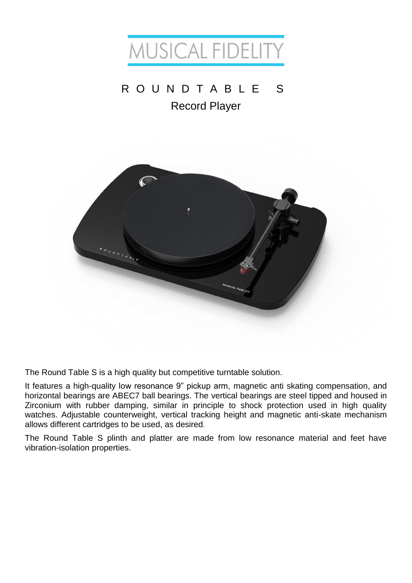

# R O U N D T A B L E S Record Player



The Round Table S is a high quality but competitive turntable solution.

It features a high-quality low resonance 9" pickup arm, magnetic anti skating compensation, and horizontal bearings are ABEC7 ball bearings. The vertical bearings are steel tipped and housed in Zirconium with rubber damping, similar in principle to shock protection used in high quality watches. Adjustable counterweight, vertical tracking height and magnetic anti-skate mechanism allows different cartridges to be used, as desired.

The Round Table S plinth and platter are made from low resonance material and feet have vibration-isolation properties.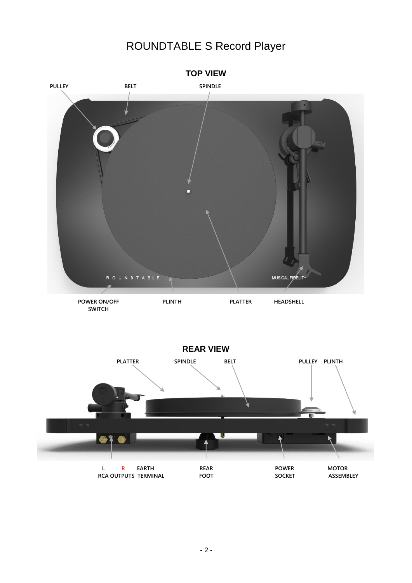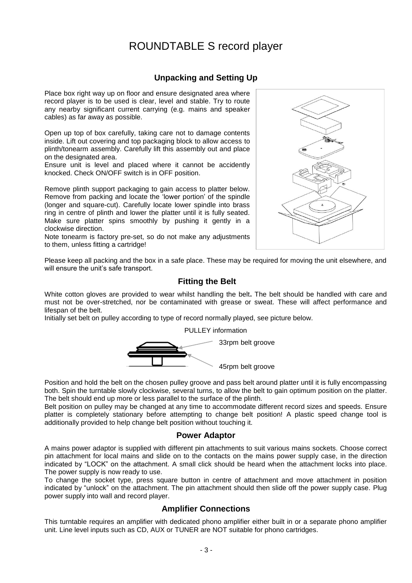### **Unpacking and Setting Up**

Place box right way up on floor and ensure designated area where record player is to be used is clear, level and stable. Try to route any nearby significant current carrying (e.g. mains and speaker cables) as far away as possible.

Open up top of box carefully, taking care not to damage contents inside. Lift out covering and top packaging block to allow access to plinth/tonearm assembly. Carefully lift this assembly out and place on the designated area.

Ensure unit is level and placed where it cannot be accidently knocked. Check ON/OFF switch is in OFF position.

Remove plinth support packaging to gain access to platter below. Remove from packing and locate the 'lower portion' of the spindle (longer and square-cut). Carefully locate lower spindle into brass ring in centre of plinth and lower the platter until it is fully seated. Make sure platter spins smoothly by pushing it gently in a clockwise direction.

Note tonearm is factory pre-set, so do not make any adjustments to them, unless fitting a cartridge!



Please keep all packing and the box in a safe place. These may be required for moving the unit elsewhere, and will ensure the unit's safe transport.

### **Fitting the Belt**

White cotton gloves are provided to wear whilst handling the belt**.** The belt should be handled with care and must not be over-stretched, nor be contaminated with grease or sweat. These will affect performance and lifespan of the belt.

Initially set belt on pulley according to type of record normally played, see picture below.

PULLEY information



Position and hold the belt on the chosen pulley groove and pass belt around platter until it is fully encompassing both. Spin the turntable slowly clockwise, several turns, to allow the belt to gain optimum position on the platter. The belt should end up more or less parallel to the surface of the plinth.

Belt position on pulley may be changed at any time to accommodate different record sizes and speeds. Ensure platter is completely stationary before attempting to change belt position! A plastic speed change tool is additionally provided to help change belt position without touching it.

### **Power Adaptor**

A mains power adaptor is supplied with different pin attachments to suit various mains sockets. Choose correct pin attachment for local mains and slide on to the contacts on the mains power supply case, in the direction indicated by "LOCK" on the attachment. A small click should be heard when the attachment locks into place. The power supply is now ready to use.

To change the socket type, press square button in centre of attachment and move attachment in position indicated by "unlock" on the attachment. The pin attachment should then slide off the power supply case. Plug power supply into wall and record player.

### **Amplifier Connections**

This turntable requires an amplifier with dedicated phono amplifier either built in or a separate phono amplifier unit. Line level inputs such as CD, AUX or TUNER are NOT suitable for phono cartridges.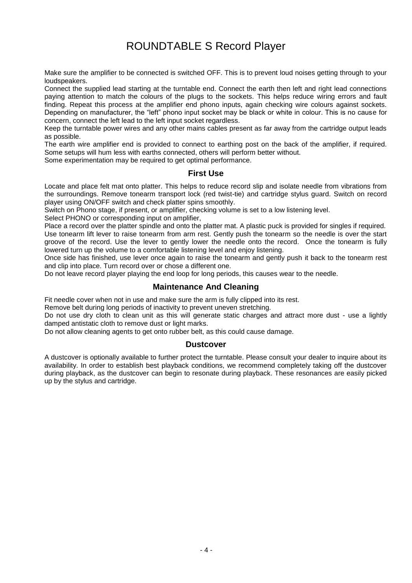Make sure the amplifier to be connected is switched OFF. This is to prevent loud noises getting through to your loudspeakers.

Connect the supplied lead starting at the turntable end. Connect the earth then left and right lead connections paying attention to match the colours of the plugs to the sockets. This helps reduce wiring errors and fault finding. Repeat this process at the amplifier end phono inputs, again checking wire colours against sockets. Depending on manufacturer, the "left" phono input socket may be black or white in colour. This is no cause for concern, connect the left lead to the left input socket regardless.

Keep the turntable power wires and any other mains cables present as far away from the cartridge output leads as possible.

The earth wire amplifier end is provided to connect to earthing post on the back of the amplifier, if required. Some setups will hum less with earths connected, others will perform better without.

Some experimentation may be required to get optimal performance.

### **First Use**

Locate and place felt mat onto platter. This helps to reduce record slip and isolate needle from vibrations from the surroundings. Remove tonearm transport lock (red twist-tie) and cartridge stylus guard. Switch on record player using ON/OFF switch and check platter spins smoothly.

Switch on Phono stage, if present, or amplifier, checking volume is set to a low listening level.

Select PHONO or corresponding input on amplifier,

Place a record over the platter spindle and onto the platter mat. A plastic puck is provided for singles if required. Use tonearm lift lever to raise tonearm from arm rest. Gently push the tonearm so the needle is over the start groove of the record. Use the lever to gently lower the needle onto the record. Once the tonearm is fully lowered turn up the volume to a comfortable listening level and enjoy listening.

Once side has finished, use lever once again to raise the tonearm and gently push it back to the tonearm rest and clip into place. Turn record over or chose a different one.

Do not leave record player playing the end loop for long periods, this causes wear to the needle.

### **Maintenance And Cleaning**

Fit needle cover when not in use and make sure the arm is fully clipped into its rest.

Remove belt during long periods of inactivity to prevent uneven stretching.

Do not use dry cloth to clean unit as this will generate static charges and attract more dust - use a lightly damped antistatic cloth to remove dust or light marks.

Do not allow cleaning agents to get onto rubber belt, as this could cause damage.

#### **Dustcover**

A dustcover is optionally available to further protect the turntable. Please consult your dealer to inquire about its availability. In order to establish best playback conditions, we recommend completely taking off the dustcover during playback, as the dustcover can begin to resonate during playback. These resonances are easily picked up by the stylus and cartridge.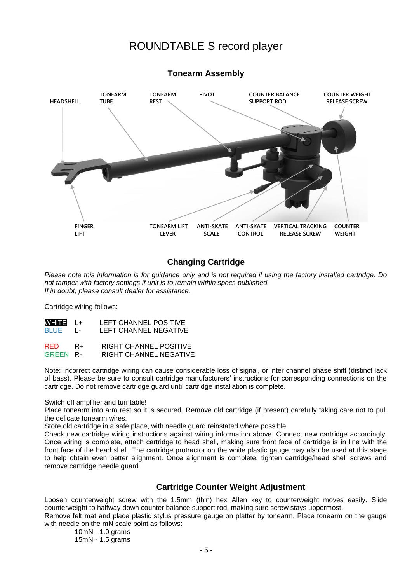

### **Tonearm Assembly**

### **Changing Cartridge**

*Please note this information is for guidance only and is not required if using the factory installed cartridge. Do not tamper with factory settings if unit is to remain within specs published. If in doubt, please consult dealer for assistance.*

Cartridge wiring follows:

| WHITE L+<br>BLUE L- |     | LEFT CHANNEL POSITIVE<br>LEFT CHANNEL NEGATIVE |
|---------------------|-----|------------------------------------------------|
| <b>DED</b>          | n., | DIOUT CUANNIEL DOCUTIVE                        |

| 6 E.U           | R+ | <b>NIGHT CHAINNEL FUSITIVE</b> |
|-----------------|----|--------------------------------|
| <b>GREEN R-</b> |    | RIGHT CHANNEL NEGATIVE         |

Note: Incorrect cartridge wiring can cause considerable loss of signal, or inter channel phase shift (distinct lack of bass). Please be sure to consult cartridge manufacturers' instructions for corresponding connections on the cartridge. Do not remove cartridge guard until cartridge installation is complete.

Switch off amplifier and turntable!

Place tonearm into arm rest so it is secured. Remove old cartridge (if present) carefully taking care not to pull the delicate tonearm wires.

Store old cartridge in a safe place, with needle guard reinstated where possible.

Check new cartridge wiring instructions against wiring information above. Connect new cartridge accordingly. Once wiring is complete, attach cartridge to head shell, making sure front face of cartridge is in line with the front face of the head shell. The cartridge protractor on the white plastic gauge may also be used at this stage to help obtain even better alignment. Once alignment is complete, tighten cartridge/head shell screws and remove cartridge needle guard.

### **Cartridge Counter Weight Adjustment**

Loosen counterweight screw with the 1.5mm (thin) hex Allen key to counterweight moves easily. Slide counterweight to halfway down counter balance support rod, making sure screw stays uppermost.

Remove felt mat and place plastic stylus pressure gauge on platter by tonearm. Place tonearm on the gauge with needle on the mN scale point as follows:

10mN - 1.0 grams 15mN - 1.5 grams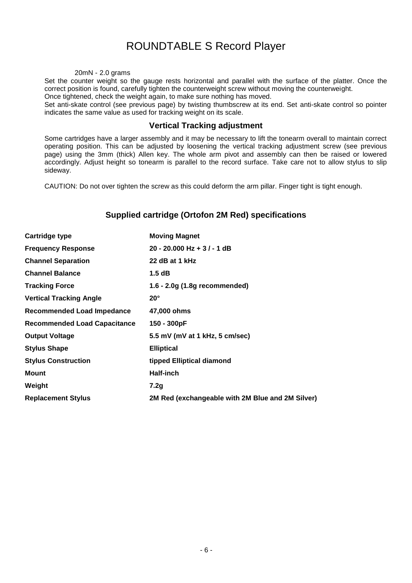#### 20mN - 2.0 grams

Set the counter weight so the gauge rests horizontal and parallel with the surface of the platter. Once the correct position is found, carefully tighten the counterweight screw without moving the counterweight.

Once tightened, check the weight again, to make sure nothing has moved.

Set anti-skate control (see previous page) by twisting thumbscrew at its end. Set anti-skate control so pointer indicates the same value as used for tracking weight on its scale.

### **Vertical Tracking adjustment**

Some cartridges have a larger assembly and it may be necessary to lift the tonearm overall to maintain correct operating position. This can be adjusted by loosening the vertical tracking adjustment screw (see previous page) using the 3mm (thick) Allen key. The whole arm pivot and assembly can then be raised or lowered accordingly. Adjust height so tonearm is parallel to the record surface. Take care not to allow stylus to slip sideway.

CAUTION: Do not over tighten the screw as this could deform the arm pillar. Finger tight is tight enough.

### **Supplied cartridge (Ortofon 2M Red) specifications**

| Cartridge type                      | <b>Moving Magnet</b>                             |  |
|-------------------------------------|--------------------------------------------------|--|
| <b>Frequency Response</b>           | 20 - 20.000 Hz + $3/$ - 1 dB                     |  |
| <b>Channel Separation</b>           | 22 dB at 1 kHz                                   |  |
| <b>Channel Balance</b>              | 1.5dB                                            |  |
| <b>Tracking Force</b>               | 1.6 - 2.0g (1.8g recommended)                    |  |
| <b>Vertical Tracking Angle</b>      | $20^{\circ}$                                     |  |
| <b>Recommended Load Impedance</b>   | 47,000 ohms                                      |  |
| <b>Recommended Load Capacitance</b> | 150 - 300pF                                      |  |
| <b>Output Voltage</b>               | 5.5 mV (mV at 1 kHz, 5 cm/sec)                   |  |
| <b>Stylus Shape</b>                 | <b>Elliptical</b>                                |  |
| <b>Stylus Construction</b>          | tipped Elliptical diamond                        |  |
| <b>Mount</b>                        | <b>Half-inch</b>                                 |  |
| Weight                              | 7.2q                                             |  |
| <b>Replacement Stylus</b>           | 2M Red (exchangeable with 2M Blue and 2M Silver) |  |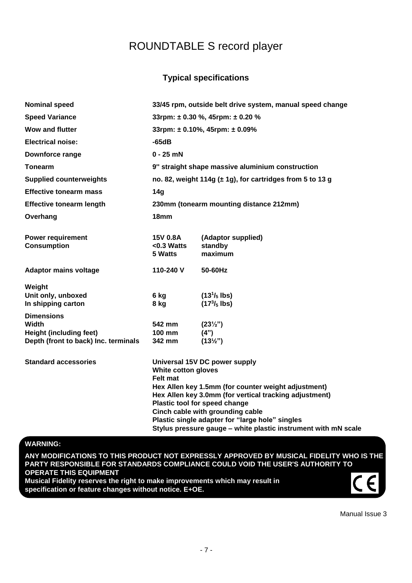### **Typical specifications**

| <b>Nominal speed</b>                                                   |                                                                | 33/45 rpm, outside belt drive system, manual speed change                                                                                                                                                                                                              |  |  |
|------------------------------------------------------------------------|----------------------------------------------------------------|------------------------------------------------------------------------------------------------------------------------------------------------------------------------------------------------------------------------------------------------------------------------|--|--|
| <b>Speed Variance</b>                                                  | 33rpm: $\pm$ 0.30 %, 45rpm: $\pm$ 0.20 %                       |                                                                                                                                                                                                                                                                        |  |  |
| <b>Wow and flutter</b>                                                 |                                                                | 33rpm: $\pm$ 0.10%, 45rpm: $\pm$ 0.09%                                                                                                                                                                                                                                 |  |  |
| <b>Electrical noise:</b>                                               | $-65dB$                                                        |                                                                                                                                                                                                                                                                        |  |  |
| Downforce range                                                        | $0 - 25$ mN                                                    |                                                                                                                                                                                                                                                                        |  |  |
| <b>Tonearm</b>                                                         |                                                                | 9" straight shape massive aluminium construction                                                                                                                                                                                                                       |  |  |
| <b>Supplied counterweights</b>                                         | no. 82, weight 114g $(\pm 1g)$ , for cartridges from 5 to 13 g |                                                                                                                                                                                                                                                                        |  |  |
| <b>Effective tonearm mass</b>                                          | 14 <sub>q</sub>                                                |                                                                                                                                                                                                                                                                        |  |  |
| <b>Effective tonearm length</b>                                        |                                                                | 230mm (tonearm mounting distance 212mm)                                                                                                                                                                                                                                |  |  |
| Overhang                                                               | 18 <sub>mm</sub>                                               |                                                                                                                                                                                                                                                                        |  |  |
| <b>Power requirement</b><br><b>Consumption</b>                         | 15V 0.8A<br>$< 0.3$ Watts<br>5 Watts                           | (Adaptor supplied)<br>standby<br>maximum                                                                                                                                                                                                                               |  |  |
| <b>Adaptor mains voltage</b>                                           | 110-240 V                                                      | 50-60Hz                                                                                                                                                                                                                                                                |  |  |
| Weight                                                                 |                                                                |                                                                                                                                                                                                                                                                        |  |  |
| Unit only, unboxed<br>In shipping carton                               | 6 kg<br>8 kg                                                   | $(131/5$ lbs)<br>$(173/5$ lbs)                                                                                                                                                                                                                                         |  |  |
| <b>Dimensions</b>                                                      |                                                                |                                                                                                                                                                                                                                                                        |  |  |
| Width                                                                  | 542 mm                                                         | $(23\frac{1}{2})$                                                                                                                                                                                                                                                      |  |  |
| <b>Height (including feet)</b><br>Depth (front to back) Inc. terminals | <b>100 mm</b><br>342 mm                                        | (4")<br>$(13\frac{1}{2})$                                                                                                                                                                                                                                              |  |  |
| <b>Standard accessories</b>                                            | White cotton gloves<br>Felt mat                                | Universal 15V DC power supply<br>Hex Allen key 1.5mm (for counter weight adjustment)<br>Hex Allen key 3.0mm (for vertical tracking adjustment)<br>Plastic tool for speed change<br>Cinch cable with grounding cable<br>Plastic single adapter for "large hole" singles |  |  |
|                                                                        |                                                                | Stylus pressure gauge - white plastic instrument with mN scale                                                                                                                                                                                                         |  |  |

### **WARNING:**

**ANY MODIFICATIONS TO THIS PRODUCT NOT EXPRESSLY APPROVED BY MUSICAL FIDELITY WHO IS THE PARTY RESPONSIBLE FOR STANDARDS COMPLIANCE COULD VOID THE USER'S AUTHORITY TO OPERATE THIS EQUIPMENT Musical Fidelity reserves the right to make improvements which may result in specification or feature changes without notice. E+OE.**

Manual Issue 3